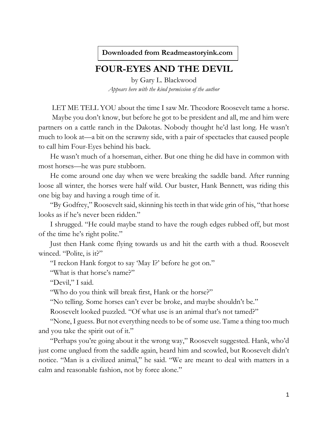**Downloaded from Readmeastoryink.com**

## **FOUR-EYES AND THE DEVIL**

by Gary L. Blackwood *Appears here with the kind permission of the author*

LET ME TELL YOU about the time I saw Mr. Theodore Roosevelt tame a horse.

Maybe you don't know, but before he got to be president and all, me and him were partners on a cattle ranch in the Dakotas. Nobody thought he'd last long. He wasn't much to look at—a bit on the scrawny side, with a pair of spectacles that caused people to call him Four-Eyes behind his back.

He wasn't much of a horseman, either. But one thing he did have in common with most horses—he was pure stubborn.

He come around one day when we were breaking the saddle band. After running loose all winter, the horses were half wild. Our buster, Hank Bennett, was riding this one big bay and having a rough time of it.

"By Godfrey," Roosevelt said, skinning his teeth in that wide grin of his, "that horse looks as if he's never been ridden."

I shrugged. "He could maybe stand to have the rough edges rubbed off, but most of the time he's right polite."

Just then Hank come flying towards us and hit the earth with a thud. Roosevelt winced. "Polite, is it?"

"I reckon Hank forgot to say 'May I?' before he got on."

"What is that horse's name?"

"Devil," I said.

"Who do you think will break first, Hank or the horse?"

"No telling. Some horses can't ever be broke, and maybe shouldn't be."

Roosevelt looked puzzled. "Of what use is an animal that's not tamed?"

"None, I guess. But not everything needs to be of some use. Tame a thing too much and you take the spirit out of it."

"Perhaps you're going about it the wrong way," Roosevelt suggested. Hank, who'd just come unglued from the saddle again, heard him and scowled, but Roosevelt didn't notice. "Man is a civilized animal," he said. "We are meant to deal with matters in a calm and reasonable fashion, not by force alone."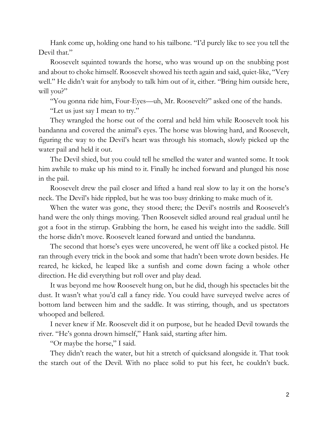Hank come up, holding one hand to his tailbone. "I'd purely like to see you tell the Devil that."

Roosevelt squinted towards the horse, who was wound up on the snubbing post and about to choke himself. Roosevelt showed his teeth again and said, quiet-like, "Very well." He didn't wait for anybody to talk him out of it, either. "Bring him outside here, will you?"

"You gonna ride him, Four-Eyes—uh, Mr. Roosevelt?" asked one of the hands.

"Let us just say I mean to try."

They wrangled the horse out of the corral and held him while Roosevelt took his bandanna and covered the animal's eyes. The horse was blowing hard, and Roosevelt, figuring the way to the Devil's heart was through his stomach, slowly picked up the water pail and held it out.

The Devil shied, but you could tell he smelled the water and wanted some. It took him awhile to make up his mind to it. Finally he inched forward and plunged his nose in the pail.

Roosevelt drew the pail closer and lifted a hand real slow to lay it on the horse's neck. The Devil's hide rippled, but he was too busy drinking to make much of it.

When the water was gone, they stood there; the Devil's nostrils and Roosevelt's hand were the only things moving. Then Roosevelt sidled around real gradual until he got a foot in the stirrup. Grabbing the horn, he eased his weight into the saddle. Still the horse didn't move. Roosevelt leaned forward and untied the bandanna.

The second that horse's eyes were uncovered, he went off like a cocked pistol. He ran through every trick in the book and some that hadn't been wrote down besides. He reared, he kicked, he leaped like a sunfish and come down facing a whole other direction. He did everything but roll over and play dead.

It was beyond me how Roosevelt hung on, but he did, though his spectacles bit the dust. It wasn't what you'd call a fancy ride. You could have surveyed twelve acres of bottom land between him and the saddle. It was stirring, though, and us spectators whooped and bellered.

I never knew if Mr. Roosevelt did it on purpose, but he headed Devil towards the river. "He's gonna drown himself," Hank said, starting after him.

"Or maybe the horse," I said.

They didn't reach the water, but hit a stretch of quicksand alongside it. That took the starch out of the Devil. With no place solid to put his feet, he couldn't buck.